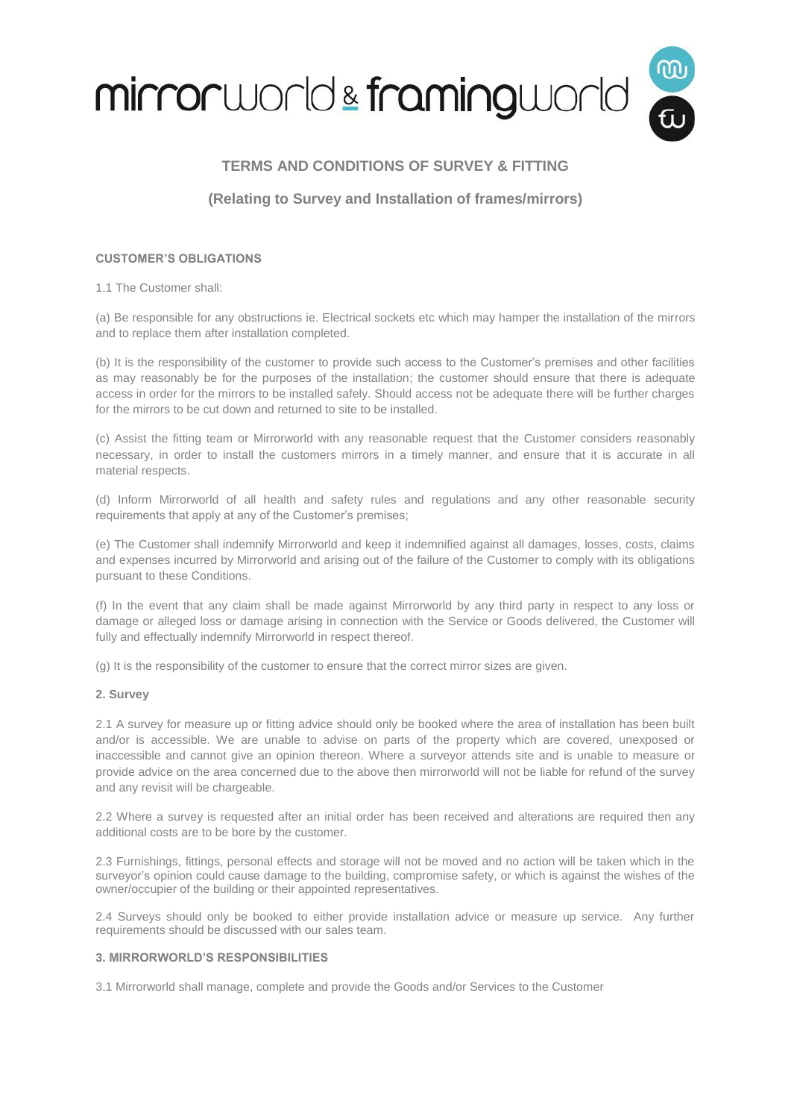

## **TERMS AND CONDITIONS OF SURVEY & FITTING**

### **(Relating to Survey and Installation of frames/mirrors)**

### **CUSTOMER'S OBLIGATIONS**

1.1 The Customer shall:

(a) Be responsible for any obstructions ie. Electrical sockets etc which may hamper the installation of the mirrors and to replace them after installation completed.

(b) It is the responsibility of the customer to provide such access to the Customer's premises and other facilities as may reasonably be for the purposes of the installation; the customer should ensure that there is adequate access in order for the mirrors to be installed safely. Should access not be adequate there will be further charges for the mirrors to be cut down and returned to site to be installed.

(c) Assist the fitting team or Mirrorworld with any reasonable request that the Customer considers reasonably necessary, in order to install the customers mirrors in a timely manner, and ensure that it is accurate in all material respects.

(d) Inform Mirrorworld of all health and safety rules and regulations and any other reasonable security requirements that apply at any of the Customer's premises;

(e) The Customer shall indemnify Mirrorworld and keep it indemnified against all damages, losses, costs, claims and expenses incurred by Mirrorworld and arising out of the failure of the Customer to comply with its obligations pursuant to these Conditions.

(f) In the event that any claim shall be made against Mirrorworld by any third party in respect to any loss or damage or alleged loss or damage arising in connection with the Service or Goods delivered, the Customer will fully and effectually indemnify Mirrorworld in respect thereof.

(g) It is the responsibility of the customer to ensure that the correct mirror sizes are given.

### **2. Survey**

2.1 A survey for measure up or fitting advice should only be booked where the area of installation has been built and/or is accessible. We are unable to advise on parts of the property which are covered, unexposed or inaccessible and cannot give an opinion thereon. Where a surveyor attends site and is unable to measure or provide advice on the area concerned due to the above then mirrorworld will not be liable for refund of the survey and any revisit will be chargeable.

2.2 Where a survey is requested after an initial order has been received and alterations are required then any additional costs are to be bore by the customer.

2.3 Furnishings, fittings, personal effects and storage will not be moved and no action will be taken which in the surveyor's opinion could cause damage to the building, compromise safety, or which is against the wishes of the owner/occupier of the building or their appointed representatives.

2.4 Surveys should only be booked to either provide installation advice or measure up service. Any further requirements should be discussed with our sales team.

### **3. MIRRORWORLD'S RESPONSIBILITIES**

3.1 Mirrorworld shall manage, complete and provide the Goods and/or Services to the Customer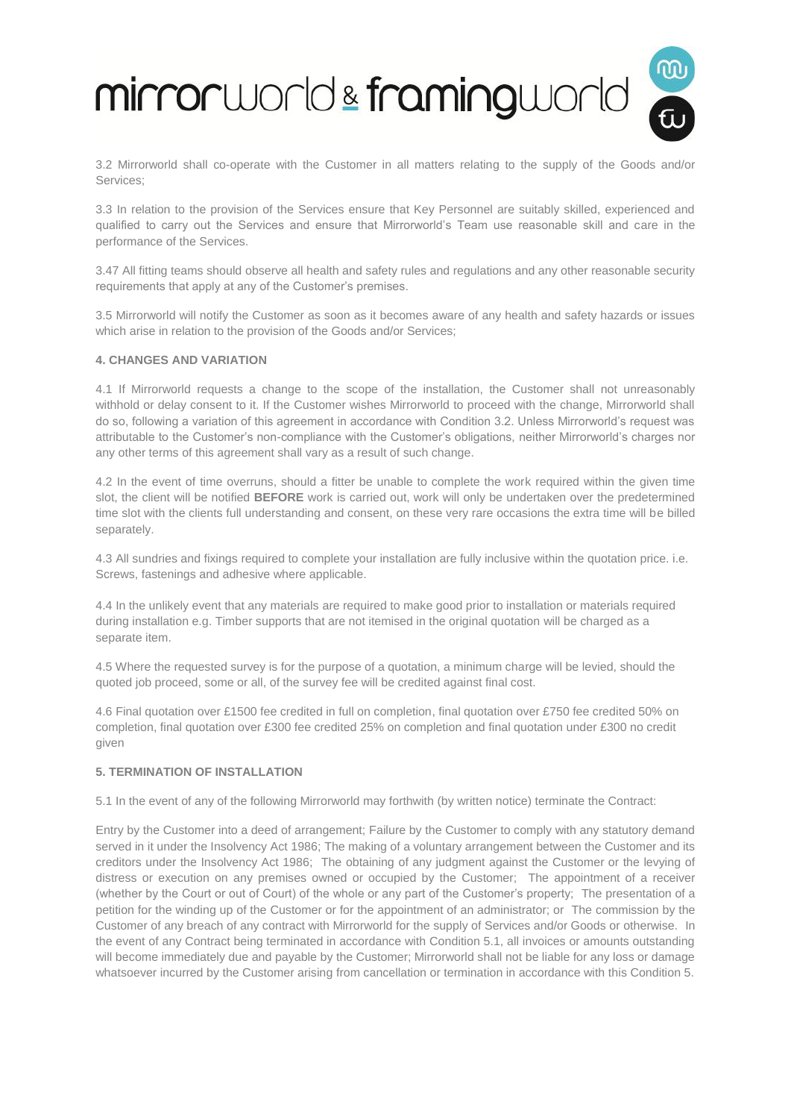# mirrorworld & framingworld



3.3 In relation to the provision of the Services ensure that Key Personnel are suitably skilled, experienced and qualified to carry out the Services and ensure that Mirrorworld's Team use reasonable skill and care in the performance of the Services.

3.47 All fitting teams should observe all health and safety rules and regulations and any other reasonable security requirements that apply at any of the Customer's premises.

3.5 Mirrorworld will notify the Customer as soon as it becomes aware of any health and safety hazards or issues which arise in relation to the provision of the Goods and/or Services;

### **4. CHANGES AND VARIATION**

4.1 If Mirrorworld requests a change to the scope of the installation, the Customer shall not unreasonably withhold or delay consent to it. If the Customer wishes Mirrorworld to proceed with the change, Mirrorworld shall do so, following a variation of this agreement in accordance with Condition 3.2. Unless Mirrorworld's request was attributable to the Customer's non-compliance with the Customer's obligations, neither Mirrorworld's charges nor any other terms of this agreement shall vary as a result of such change.

4.2 In the event of time overruns, should a fitter be unable to complete the work required within the given time slot, the client will be notified **BEFORE** work is carried out, work will only be undertaken over the predetermined time slot with the clients full understanding and consent, on these very rare occasions the extra time will be billed separately.

4.3 All sundries and fixings required to complete your installation are fully inclusive within the quotation price. i.e. Screws, fastenings and adhesive where applicable.

4.4 In the unlikely event that any materials are required to make good prior to installation or materials required during installation e.g. Timber supports that are not itemised in the original quotation will be charged as a separate item.

4.5 Where the requested survey is for the purpose of a quotation, a minimum charge will be levied, should the quoted job proceed, some or all, of the survey fee will be credited against final cost.

4.6 Final quotation over £1500 fee credited in full on completion, final quotation over £750 fee credited 50% on completion, final quotation over £300 fee credited 25% on completion and final quotation under £300 no credit given

### **5. TERMINATION OF INSTALLATION**

5.1 In the event of any of the following Mirrorworld may forthwith (by written notice) terminate the Contract:

Entry by the Customer into a deed of arrangement; Failure by the Customer to comply with any statutory demand served in it under the Insolvency Act 1986; The making of a voluntary arrangement between the Customer and its creditors under the Insolvency Act 1986; The obtaining of any judgment against the Customer or the levying of distress or execution on any premises owned or occupied by the Customer; The appointment of a receiver (whether by the Court or out of Court) of the whole or any part of the Customer's property; The presentation of a petition for the winding up of the Customer or for the appointment of an administrator; or The commission by the Customer of any breach of any contract with Mirrorworld for the supply of Services and/or Goods or otherwise. In the event of any Contract being terminated in accordance with Condition 5.1, all invoices or amounts outstanding will become immediately due and payable by the Customer; Mirrorworld shall not be liable for any loss or damage whatsoever incurred by the Customer arising from cancellation or termination in accordance with this Condition 5.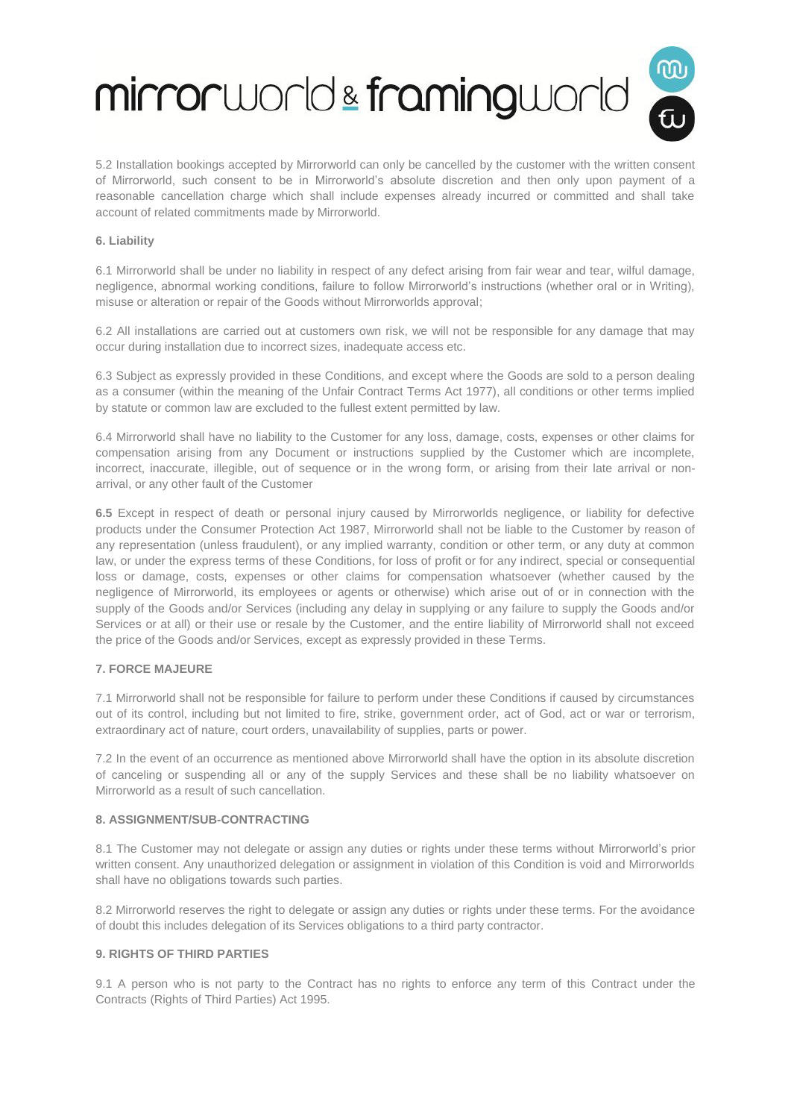# mirrorworld & framingworld

5.2 Installation bookings accepted by Mirrorworld can only be cancelled by the customer with the written consent of Mirrorworld, such consent to be in Mirrorworld's absolute discretion and then only upon payment of a reasonable cancellation charge which shall include expenses already incurred or committed and shall take account of related commitments made by Mirrorworld.

### **6. Liability**

6.1 Mirrorworld shall be under no liability in respect of any defect arising from fair wear and tear, wilful damage, negligence, abnormal working conditions, failure to follow Mirrorworld's instructions (whether oral or in Writing), misuse or alteration or repair of the Goods without Mirrorworlds approval;

6.2 All installations are carried out at customers own risk, we will not be responsible for any damage that may occur during installation due to incorrect sizes, inadequate access etc.

6.3 Subject as expressly provided in these Conditions, and except where the Goods are sold to a person dealing as a consumer (within the meaning of the Unfair Contract Terms Act 1977), all conditions or other terms implied by statute or common law are excluded to the fullest extent permitted by law.

6.4 Mirrorworld shall have no liability to the Customer for any loss, damage, costs, expenses or other claims for compensation arising from any Document or instructions supplied by the Customer which are incomplete, incorrect, inaccurate, illegible, out of sequence or in the wrong form, or arising from their late arrival or nonarrival, or any other fault of the Customer

**6.5** Except in respect of death or personal injury caused by Mirrorworlds negligence, or liability for defective products under the Consumer Protection Act 1987, Mirrorworld shall not be liable to the Customer by reason of any representation (unless fraudulent), or any implied warranty, condition or other term, or any duty at common law, or under the express terms of these Conditions, for loss of profit or for any indirect, special or consequential loss or damage, costs, expenses or other claims for compensation whatsoever (whether caused by the negligence of Mirrorworld, its employees or agents or otherwise) which arise out of or in connection with the supply of the Goods and/or Services (including any delay in supplying or any failure to supply the Goods and/or Services or at all) or their use or resale by the Customer, and the entire liability of Mirrorworld shall not exceed the price of the Goods and/or Services, except as expressly provided in these Terms.

### **7. FORCE MAJEURE**

7.1 Mirrorworld shall not be responsible for failure to perform under these Conditions if caused by circumstances out of its control, including but not limited to fire, strike, government order, act of God, act or war or terrorism, extraordinary act of nature, court orders, unavailability of supplies, parts or power.

7.2 In the event of an occurrence as mentioned above Mirrorworld shall have the option in its absolute discretion of canceling or suspending all or any of the supply Services and these shall be no liability whatsoever on Mirrorworld as a result of such cancellation.

### **8. ASSIGNMENT/SUB-CONTRACTING**

8.1 The Customer may not delegate or assign any duties or rights under these terms without Mirrorworld's prior written consent. Any unauthorized delegation or assignment in violation of this Condition is void and Mirrorworlds shall have no obligations towards such parties.

8.2 Mirrorworld reserves the right to delegate or assign any duties or rights under these terms. For the avoidance of doubt this includes delegation of its Services obligations to a third party contractor.

### **9. RIGHTS OF THIRD PARTIES**

9.1 A person who is not party to the Contract has no rights to enforce any term of this Contract under the Contracts (Rights of Third Parties) Act 1995.